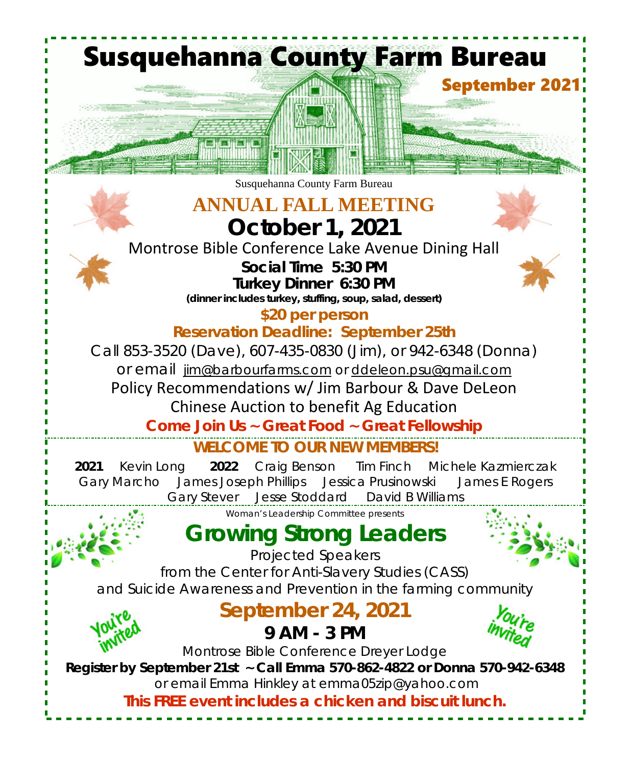**WELCOME TO OUR NEW MEMBERS! 2021** Kevin Long **2022** Craig Benson Tim Finch Michele Kazmierczak Gary Marcho James Joseph Phillips Jessica Prusinowski James E Rogers Gary Stever Jesse Stoddard David B Williams **Susquehanna County Farm Bureau September 2021** Susquehanna County Farm Bureau **ANNUAL FALL MEETING October 1, 2021** Montrose Bible Conference Lake Avenue Dining Hall *Social Time 5:30 PM Turkey Dinner 6:30 PM (dinner includes turkey, stuffing, soup, salad, dessert)* **\$20 per person Reservation Deadline: September 25th** Call 853-3520 (Dave), 607-435-0830 (Jim), or 942-6348 (Donna) or email jim@barbourfarms.com or ddeleon.psu@gmail.com Policy Recommendations w/ Jim Barbour & Dave DeLeon Chinese Auction to benefit Ag Education **Come Join Us ~ Great Food ~ Great Fellowship** *Woman's Leadership Committee presents* **Growing Strong Leaders** Projected Speakers from the Center for Anti-Slavery Studies (CASS) and Suicide Awareness and Prevention in the farming community **September 24, 2021 9 AM - 3 PM** Montrose Bible Conference Dreyer Lodge **Register by September 21st ~ Call Emma 570-862-4822 or Donna 570-942-6348** or email Emma Hinkley at emma05zip@yahoo.com **This FREE event includes a chicken and biscuit lunch.**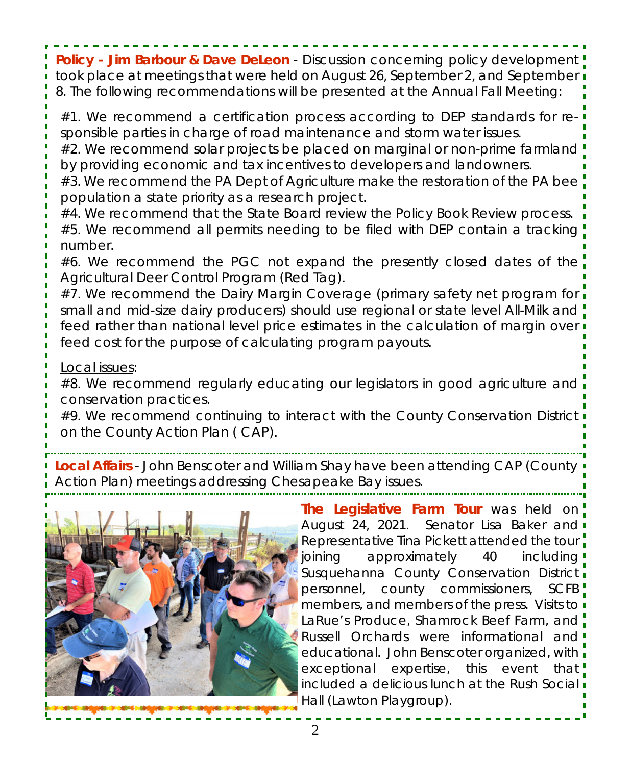**Policy -** *Jim Barbour & Dave DeLeon* - Discussion concerning policy development took place at meetings that were held on August 26, September 2, and September 8. The following recommendations will be presented at the *Annual Fall Meeting*:

#1. We recommend a certification process according to DEP standards for responsible parties in charge of road maintenance and storm water issues.

#2. We recommend solar projects be placed on marginal or non-prime farmland by providing economic and tax incentives to developers and landowners.

#3. We recommend the PA Dept of Agriculture make the restoration of the PA bee

population a state priority as a research project.

#4. We recommend that the State Board review the Policy Book Review process.

#5. We recommend all permits needing to be filed with DEP contain a tracking number.

#6. We recommend the PGC not expand the presently closed dates of the Agricultural Deer Control Program (Red Tag).

#7. We recommend the Dairy Margin Coverage (primary safety net program for small and mid-size dairy producers) should use regional or state level All-Milk and feed rather than national level price estimates in the calculation of margin over feed cost for the purpose of calculating program payouts.

Local issues:

#8. We recommend regularly educating our legislators in good agriculture and conservation practices.

#9. We recommend continuing to interact with the County Conservation District on the County Action Plan ( CAP).

**Local Affairs** - John Benscoter and William Shay have been attending CAP (County Action Plan) meetings addressing Chesapeake Bay issues.



**The Legislative Farm Tour** was held on August 24, 2021. Senator Lisa Baker and Representative Tina Pickett attended the tour. joining approximately 40 including Susquehanna County Conservation District. personnel, county commissioners, SCFB members, and members of the press. Visits to  $\overline{\phantom{a}}$ LaRue's Produce, Shamrock Beef Farm, and " Russell Orchards were informational and educational. John Benscoter organized, with  $\frac{1}{1}$ exceptional expertise, this event that included a delicious lunch at the Rush Social i Hall (Lawton Playgroup).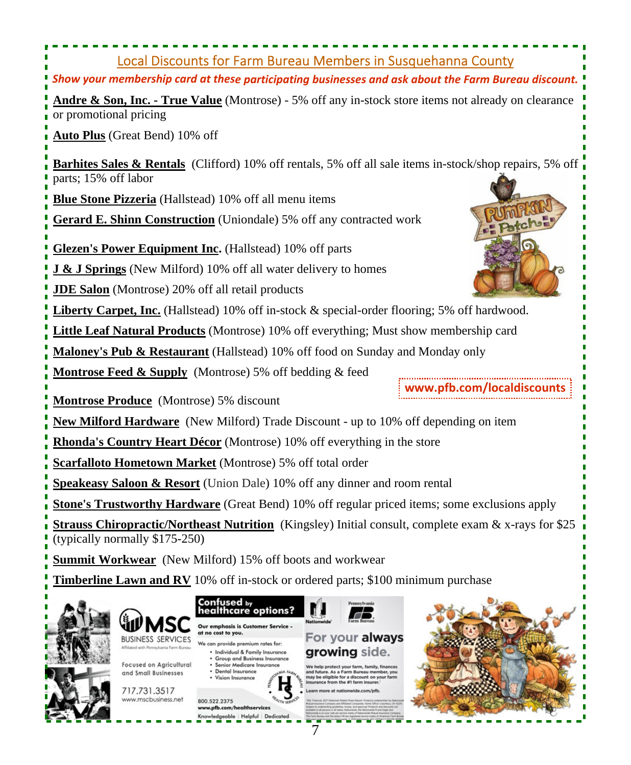# Local Discounts for Farm Bureau Members in Susquehanna County *Show your membership card at these participating businesses and ask about the Farm Bureau discount.* **Andre & Son, Inc. - True Value** (Montrose) - 5% off any in-stock store items not already on clearance or promotional pricing **Auto Plus** (Great Bend) 10% off **Barhites Sales & Rentals** (Clifford) 10% off rentals, 5% off all sale items in-stock/shop repairs, 5% off parts; 15% off labor **Blue Stone Pizzeria** (Hallstead) 10% off all menu items **Gerard E. Shinn Construction** (Uniondale) 5% off any contracted work **Glezen's Power Equipment Inc.** (Hallstead) 10% off parts **J & J Springs** (New Milford) 10% off all water delivery to homes **JDE Salon** (Montrose) 20% off all retail products **Liberty Carpet, Inc.** (Hallstead) 10% off in-stock & special-order flooring; 5% off hardwood. **Little Leaf Natural Products** (Montrose) 10% off everything; Must show membership card **Maloney's Pub & Restaurant** (Hallstead) 10% off food on Sunday and Monday only **Montrose Feed & Supply** (Montrose) 5% off bedding & feed **www.pfb.com/localdiscountsMontrose Produce** (Montrose) 5% discount **New Milford Hardware** (New Milford) Trade Discount - up to 10% off depending on item **Rhonda's Country Heart Décor** (Montrose) 10% off everything in the store **Scarfalloto Hometown Market** (Montrose) 5% off total order **Speakeasy Saloon & Resort** (Union Dale) 10% off any dinner and room rental **Stone's Trustworthy Hardware** (Great Bend) 10% off regular priced items; some exclusions apply **Strauss Chiropractic/Northeast Nutrition** (Kingsley) Initial consult, complete exam & x-rays for \$25 (typically normally \$175-250) **Summit Workwear** (New Milford) 15% off boots and workwear **Timberline Lawn and RV** 10% off in-stock or ordered parts; \$100 minimum purchase Confused <sub>by</sub><br>healthcare options? Our emphasis is Customer Service at no cost to you. **BUSINESS SERVICES**

Focused on Agricultural and Small Businesses

717.731.3517 www.mscbusiness.net



7